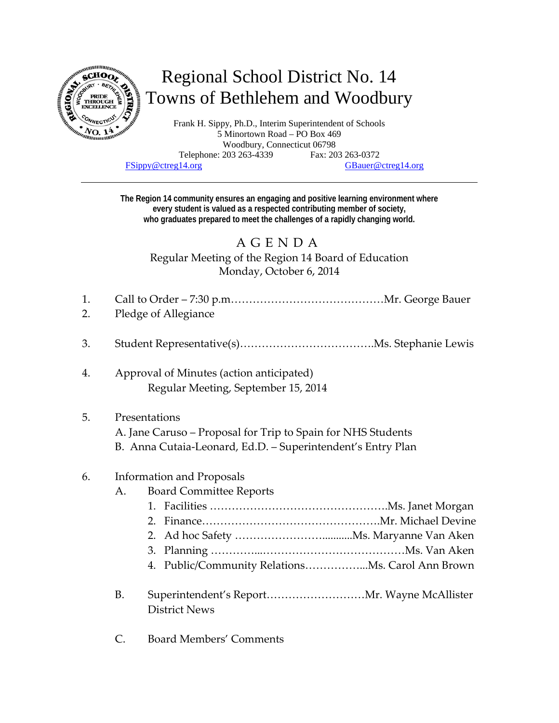

# Regional School District No. 14 Towns of Bethlehem and Woodbury

Frank H. Sippy, Ph.D., Interim Superintendent of Schools 5 Minortown Road – PO Box 469 Woodbury, Connecticut 06798 Telephone: 203 263-4339 Fax: 203 263-0372 FSippy@ctreg14.org GBauer@ctreg14.org

**The Region 14 community ensures an engaging and positive learning environment where every student is valued as a respected contributing member of society, who graduates prepared to meet the challenges of a rapidly changing world.** 

# AGENDA

Regular Meeting of the Region 14 Board of Education Monday, October 6, 2014

- 1. Call to Order 7:30 p.m……………………………………Mr. George Bauer
- 2. Pledge of Allegiance
- 3. Student Representative(s)……………………………….Ms. Stephanie Lewis
- 4. Approval of Minutes (action anticipated) Regular Meeting, September 15, 2014

# 5. Presentations

- A. Jane Caruso Proposal for Trip to Spain for NHS Students
- B. Anna Cutaia‐Leonard, Ed.D. Superintendent's Entry Plan

#### 6. Information and Proposals

#### A. Board Committee Reports

- 1. Facilities ………………………………………….Ms. Janet Morgan
- 2. Finance………………………………………….Mr. Michael Devine
- 2. Ad hoc Safety …………………………………Ms. Maryanne Van Aken
- 3. Planning …………...…………………………………Ms. Van Aken
- 4. Public/Community Relations……………...Ms. Carol Ann Brown
- B. Superintendent's Report………………………Mr. Wayne McAllister District News
- C. Board Members' Comments